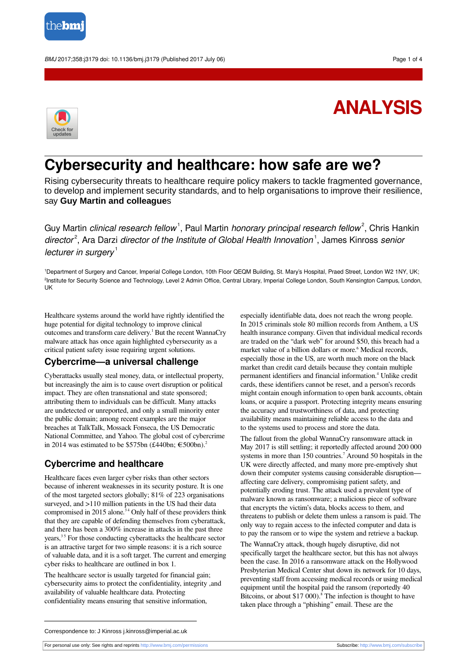

BMJ 2017;358:j3179 doi: 10.1136/bmj.j3179 (Published 2017 July 06) example to the state of 4



# **ANALYSIS**

## **Cybersecurity and healthcare: how safe are we?**

Rising cybersecurity threats to healthcare require policy makers to tackle fragmented governance, to develop and implement security standards, and to help organisations to improve their resilience, say **Guy Martin and colleague**s

Guy Martin *clinical research fellow*<sup>1</sup>, Paul Martin *honorary principal research fellow<sup>2</sup>, Chris Hankin* director<sup>2</sup>, Ara Darzi director of the Institute of Global Health Innovation<sup>1</sup>, James Kinross senior lecturer in surgery<sup>1</sup>

<sup>1</sup>Department of Surgery and Cancer, Imperial College London, 10th Floor QEQM Building, St. Mary's Hospital, Praed Street, London W2 1NY, UK; 2 Institute for Security Science and Technology, Level 2 Admin Office, Central Library, Imperial College London, South Kensington Campus, London, UK

Healthcare systems around the world have rightly identified the huge potential for digital technology to improve clinical outcomes and transform care delivery.<sup>1</sup> But the recent WannaCry malware attack has once again highlighted cybersecurity as a critical patient safety issue requiring urgent solutions.

#### **Cybercrime—a universal challenge**

Cyberattacks usually steal money, data, or intellectual property, but increasingly the aim is to cause overt disruption or political impact. They are often transnational and state sponsored; attributing them to individuals can be difficult. Many attacks are undetected or unreported, and only a small minority enter the public domain; among recent examples are the major breaches at TalkTalk, Mossack Fonseca, the US Democratic National Committee, and Yahoo. The global cost of cybercrime in 2014 was estimated to be \$575bn (£440bn;  $\epsilon$ 500bn).<sup>2</sup>

## **Cybercrime and healthcare**

Healthcare faces even larger cyber risks than other sectors because of inherent weaknesses in its security posture. It is one of the most targeted sectors globally; 81% of 223 organisations surveyed, and >110 million patients in the US had their data compromised in 2015 alone.<sup>34</sup> Only half of these providers think that they are capable of defending themselves from cyberattack, and there has been a 300% increase in attacks in the past three years,<sup>35</sup> For those conducting cyberattacks the healthcare sector is an attractive target for two simple reasons: it is a rich source of valuable data, and it is a soft target. The current and emerging cyber risks to healthcare are outlined in box 1*.*

The healthcare sector is usually targeted for financial gain; cybersecurity aims to protect the confidentiality, integrity ,and availability of valuable healthcare data. Protecting confidentiality means ensuring that sensitive information,

especially identifiable data, does not reach the wrong people. In 2015 criminals stole 80 million records from Anthem, a US health insurance company. Given that individual medical records are traded on the "dark web" for around \$50, this breach had a market value of a billion dollars or more. 6 Medical records, especially those in the US, are worth much more on the black market than credit card details because they contain multiple permanent identifiers and financial information. 4 Unlike credit cards, these identifiers cannot be reset, and a person's records might contain enough information to open bank accounts, obtain loans, or acquire a passport. Protecting integrity means ensuring the accuracy and trustworthiness of data, and protecting availability means maintaining reliable access to the data and to the systems used to process and store the data.

The fallout from the global WannaCry ransomware attack in May 2017 is still settling; it reportedly affected around 200 000 systems in more than 150 countries. 7 Around 50 hospitals in the UK were directly affected, and many more pre-emptively shut down their computer systems causing considerable disruption affecting care delivery, compromising patient safety, and potentially eroding trust. The attack used a prevalent type of malware known as ransomware; a malicious piece of software that encrypts the victim's data, blocks access to them, and threatens to publish or delete them unless a ransom is paid. The only way to regain access to the infected computer and data is to pay the ransom or to wipe the system and retrieve a backup. The WannaCry attack, though hugely disruptive, did not specifically target the healthcare sector, but this has not always been the case. In 2016 a ransomware attack on the Hollywood Presbyterian Medical Center shut down its network for 10 days,

preventing staff from accessing medical records or using medical equipment until the hospital paid the ransom (reportedly 40 Bitcoins, or about \$17 000).<sup>8</sup> The infection is thought to have taken place through a "phishing" email. These are the

Correspondence to: J Kinross j.kinross@imperial.ac.uk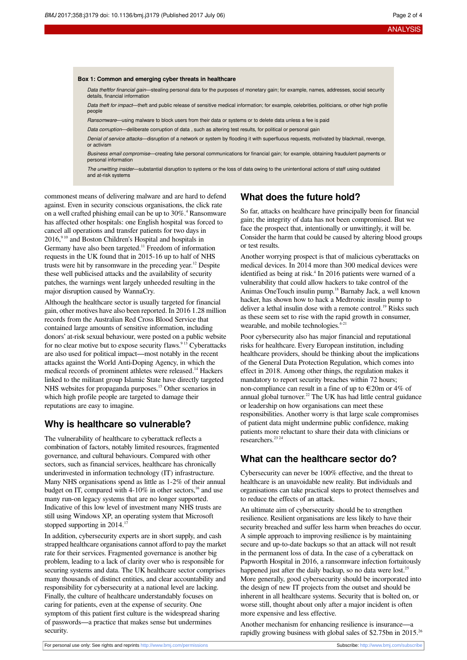#### **Box 1: Common and emerging cyber threats in healthcare**

Data theftfor financial gain-stealing personal data for the purposes of monetary gain; for example, names, addresses, social security details, financial information

Data theft for impact—theft and public release of sensitive medical information; for example, celebrities, politicians, or other high profile people

Ransomware—using malware to block users from their data or systems or to delete data unless a fee is paid

Data corruption—deliberate corruption of data , such as altering test results, for political or personal gain

Denial of service attacks—disruption of a network or system by flooding it with superfluous requests, motivated by blackmail, revenge, or activism

Business email compromise—creating fake personal communications for financial gain; for example, obtaining fraudulent payments or personal information

The unwitting insider—substantial disruption to systems or the loss of data owing to the unintentional actions of staff using outdated and at-risk systems

commonest means of delivering malware and are hard to defend against. Even in security conscious organisations, the click rate on a well crafted phishing email can be up to 30%.<sup>4</sup> Ransomware has affected other hospitals: one English hospital was forced to cancel all operations and transfer patients for two days in  $2016$ ,  $910$  and Boston Children's Hospital and hospitals in Germany have also been targeted.<sup>11</sup> Freedom of information requests in the UK found that in 2015-16 up to half of NHS trusts were hit by ransomware in the preceding year. <sup>12</sup> Despite these well publicised attacks and the availability of security patches, the warnings went largely unheeded resulting in the major disruption caused by WannaCry.

Although the healthcare sector is usually targeted for financial gain, other motives have also been reported. In 2016 1.28 million records from the Australian Red Cross Blood Service that contained large amounts of sensitive information, including donors' at-risk sexual behaviour, were posted on a public website for no clear motive but to expose security flaws.<sup>913</sup> Cyberattacks are also used for political impact—most notably in the recent attacks against the World Anti-Doping Agency, in which the medical records of prominent athletes were released.<sup>14</sup> Hackers linked to the militant group Islamic State have directly targeted NHS websites for propaganda purposes.<sup>15</sup> Other scenarios in which high profile people are targeted to damage their reputations are easy to imagine.

#### **Why is healthcare so vulnerable?**

The vulnerability of healthcare to cyberattack reflects a combination of factors, notably limited resources, fragmented governance, and cultural behaviours. Compared with other sectors, such as financial services, healthcare has chronically underinvested in information technology (IT) infrastructure. Many NHS organisations spend as little as 1-2% of their annual budget on IT, compared with 4-10% in other sectors,<sup>16</sup> and use many run-on legacy systems that are no longer supported. Indicative of this low level of investment many NHS trusts are still using Windows XP, an operating system that Microsoft stopped supporting in 2014.<sup>17</sup>

In addition, cybersecurity experts are in short supply, and cash strapped healthcare organisations cannot afford to pay the market rate for their services. Fragmented governance is another big problem, leading to a lack of clarity over who is responsible for securing systems and data. The UK healthcare sector comprises many thousands of distinct entities, and clear accountability and responsibility for cybersecurity at a national level are lacking. Finally, the culture of healthcare understandably focuses on caring for patients, even at the expense of security. One symptom of this patient first culture is the widespread sharing of passwords—a practice that makes sense but undermines security.

#### **What does the future hold?**

So far, attacks on healthcare have principally been for financial gain; the integrity of data has not been compromised. But we face the prospect that, intentionally or unwittingly, it will be. Consider the harm that could be caused by altering blood groups or test results.

Another worrying prospect is that of malicious cyberattacks on medical devices. In 2014 more than 300 medical devices were identified as being at risk. 4 In 2016 patients were warned of a vulnerability that could allow hackers to take control of the Animas OneTouch insulin pump. <sup>18</sup> Barnaby Jack, a well known hacker, has shown how to hack a Medtronic insulin pump to deliver a lethal insulin dose with a remote control.<sup>19</sup> Risks such as these seem set to rise with the rapid growth in consumer, wearable, and mobile technologies.<sup>4-21</sup>

Poor cybersecurity also has major financial and reputational risks for healthcare. Every European institution, including healthcare providers, should be thinking about the implications of the General Data Protection Regulation, which comes into effect in 2018. Among other things, the regulation makes it mandatory to report security breaches within 72 hours; non-compliance can result in a fine of up to €20m or 4% of annual global turnover. <sup>22</sup> The UK has had little central guidance or leadership on how organisations can meet these responsibilities. Another worry is that large scale compromises of patient data might undermine public confidence, making patients more reluctant to share their data with clinicians or researchers. 23 24

## **What can the healthcare sector do?**

Cybersecurity can never be 100% effective, and the threat to healthcare is an unavoidable new reality. But individuals and organisations can take practical steps to protect themselves and to reduce the effects of an attack.

An ultimate aim of cybersecurity should be to strengthen resilience. Resilient organisations are less likely to have their security breached and suffer less harm when breaches do occur. A simple approach to improving resilience is by maintaining secure and up-to-date backups so that an attack will not result in the permanent loss of data. In the case of a cyberattack on Papworth Hospital in 2016, a ransomware infection fortuitously happened just after the daily backup, so no data were lost.<sup>25</sup> More generally, good cybersecurity should be incorporated into the design of new IT projects from the outset and should be inherent in all healthcare systems. Security that is bolted on, or worse still, thought about only after a major incident is often more expensive and less effective.

Another mechanism for enhancing resilience is insurance—a rapidly growing business with global sales of \$2.75bn in 2015.<sup>26</sup>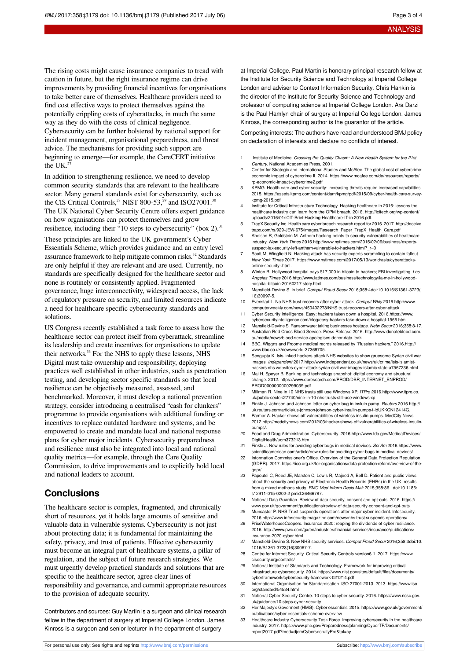The rising costs might cause insurance companies to tread with caution in future, but the right insurance regime can drive improvements by providing financial incentives for organisations to take better care of themselves. Healthcare providers need to find cost effective ways to protect themselves against the potentially crippling costs of cyberattacks, in much the same way as they do with the costs of clinical negligence. Cybersecurity can be further bolstered by national support for incident management, organisational preparedness, and threat advice. The mechanisms for providing such support are beginning to emerge—for example, the CareCERT initiative the UK. $27$ 

In addition to strengthening resilience, we need to develop common security standards that are relevant to the healthcare sector. Many general standards exist for cybersecurity, such as the CIS Critical Controls,<sup>28</sup> NIST 800-53,<sup>29</sup> and ISO27001.<sup>30</sup> The UK National Cyber Security Centre offers expert guidance on how organisations can protect themselves and grow resilience, including their "10 steps to cybersecurity" (box 2).<sup>31</sup> These principles are linked to the UK government's Cyber Essentials Scheme, which provides guidance and an entry level assurance framework to help mitigate common risks. <sup>32</sup> Standards are only helpful if they are relevant and are used. Currently, no standards are specifically designed for the healthcare sector and none is routinely or consistently applied. Fragmented governance, huge interconnectivity, widespread access, the lack of regulatory pressure on security, and limited resources indicate a need for healthcare specific cybersecurity standards and solutions.

US Congress recently established a task force to assess how the healthcare sector can protect itself from cyberattack, streamline its leadership and create incentives for organisations to update their networks. <sup>33</sup> For the NHS to apply these lessons, NHS Digital must take ownership and responsibility, deploying practices well established in other industries, such as penetration testing, and developing sector specific standards so that local resilience can be objectively measured, assessed, and benchmarked. Moreover, it must develop a national prevention strategy, consider introducing a centralised "cash for clunkers" programme to provide organisations with additional funding or incentives to replace outdated hardware and systems, and be empowered to create and mandate local and national response plans for cyber major incidents. Cybersecurity preparedness and resilience must also be integrated into local and national quality metrics—for example, through the Care Quality Commission, to drive improvements and to explicitly hold local and national leaders to account.

## **Conclusions**

The healthcare sector is complex, fragmented, and chronically short of resources, yet it holds large amounts of sensitive and valuable data in vulnerable systems. Cybersecurity is not just about protecting data; it is fundamental for maintaining the safety, privacy, and trust of patients. Effective cybersecurity must become an integral part of healthcare systems, a pillar of regulation, and the subject of future research strategies. We must urgently develop practical standards and solutions that are specific to the healthcare sector, agree clear lines of responsibility and governance, and commit appropriate resources to the provision of adequate security.

Contributors and sources: Guy Martin is a surgeon and clinical research fellow in the department of surgery at Imperial College London. James Kinross is a surgeon and senior lecturer in the department of surgery

at Imperial College. Paul Martin is honorary principal research fellow at the Institute for Security Science and Technology at Imperial College London and adviser to Context Information Security. Chris Hankin is the director of the Institute for Security Science and Technology and professor of computing science at Imperial College London. Ara Darzi is the Paul Hamlyn chair of surgery at Imperial College London. James Kinross, the corresponding author is the guarantor of the article.

Competing interests: The authors have read and understood BMJ policy on declaration of interests and declare no conflicts of interest.

- Institute of Medicine. Crossing the Quality Chasm: A New Health System for the 21st Century. National Academies Press, 2001.
- 2 Center for Strategic and International Studies and McAfee. The global cost of cybercrime: economic impact of cybercrime II. 2014. https://www.mcafee.com/de/resources/reports/ rp-economic-impact-cybercrime2.pdf
- 3 KPMG. Health care and cyber security: increasing threats require increased capabilities. 2015. https://assets.kpmg.com/content/dam/kpmg/pdf/2015/09/cyber-health-care-surveykpmg-2015.pdf
- Institute for Critical Infrastructure Technology. Hacking healthcare in 2016: lessons the healthcare industry can learn from the OPM breach. 2016. [http://icitech.org/wp-content/](http://icitech.org/wp-content/uploads/2016/01/ICIT-Brief-Hacking-Healthcare-IT-in-2016.pdf) [uploads/2016/01/ICIT-Brief-Hacking-Healthcare-IT-in-2016.pdf](http://icitech.org/wp-content/uploads/2016/01/ICIT-Brief-Hacking-Healthcare-IT-in-2016.pdf).
- 5 TrapX Security Inc. Health care cyber breach research report for 2016. 2017. [http://deceive.](http://deceive.trapx.com/rs/929-JEW-675/images/Research_Paper_TrapX_Health_Care.pdf) [trapx.com/rs/929-JEW-675/images/Research\\_Paper\\_TrapX\\_Health\\_Care.pdf](http://deceive.trapx.com/rs/929-JEW-675/images/Research_Paper_TrapX_Health_Care.pdf)
- 6 Abelson R, Goldstein M. Anthem hacking points to security vulnerabilities of healthcare industry. New York Times 2015[.http://www.nytimes.com/2015/02/06/business/experts](http://www.nytimes.com/2015/02/06/business/experts-suspect-lax-security-left-anthem-vulnerable-to-hackers.html?_r=0)[suspect-lax-security-left-anthem-vulnerable-to-hackers.html?\\_r=0](http://www.nytimes.com/2015/02/06/business/experts-suspect-lax-security-left-anthem-vulnerable-to-hackers.html?_r=0)
- 7 Scott M, Wingfield N. Hacking attack has security experts scrambling to contain fallout. New York Times 2017. https://www.nytimes.com/2017/05/13/world/asia/cyberattacksonline-security-.html.
- 8 Winton R. Hollywood hospital pays \$17,000 in bitcoin to hackers; FBI investigating, Los Angeles Times 2016[.http://www.latimes.com/business/technology/la-me-ln-hollywood](http://www.latimes.com/business/technology/la-me-ln-hollywood-hospital-bitcoin-20160217-story.html)[hospital-bitcoin-20160217-story.html](http://www.latimes.com/business/technology/la-me-ln-hollywood-hospital-bitcoin-20160217-story.html)
- 9 Mansfield-Devine S. In brief. Comput Fraud Secur 2016;358:4[doi:10.1016/S1361-3723\(](http://dx.doi.org/10.1016/S1361-3723(16)30097-5) [16\)30097-5.](http://dx.doi.org/10.1016/S1361-3723(16)30097-5)
- 10 Evenstad L. No NHS trust recovers after cyber attack. Comput Wkly 2016.[http://www.](http://www.computerweekly.com/news/450402278/NHS-trust-recovers-after-cyber-attack) [computerweekly.com/news/450402278/NHS-trust-recovers-after-cyber-attack](http://www.computerweekly.com/news/450402278/NHS-trust-recovers-after-cyber-attack).
- 11 Cyber Security Intelligence. Easy: hackers taken down a hospital. 2016.https://www. cybersecurityintelligence.com/blog/easy-hackers-take-down-a-hospital-1566.html.
- 12 Mansfield-Devine S. Ransomware: taking businesses hostage. Netw Secur 2016;358:8-17. 13 Australian Red Cross Blood Service. Press Release 2016. [http://www.donateblood.com.](http://www.donateblood.com.au/media/news/blood-service-apologises-donor-data-leak)
- [au/media/news/blood-service-apologises-donor-data-leak](http://www.donateblood.com.au/media/news/blood-service-apologises-donor-data-leak) 14 BBC. Wiggns and Froome medical recrds released by "Russian hackers." 2016[.http://](http://www.bbc.co.uk/news/world-37369705)
- [www.bbc.co.uk/news/world-37369705](http://www.bbc.co.uk/news/world-37369705). 15 Sengupta K. Isis-linked hackers attack NHS websites to show gruesome Syrian civil war
- images. Independent 2017[.http://www.independent.co.uk/news/uk/crime/isis-islamist](http://www.independent.co.uk/news/uk/crime/isis-islamist-hackers-nhs-websites-cyber-attack-syrian-civil-war-images-islamic-state-a7567236.html)[hackers-nhs-websites-cyber-attack-syrian-civil-war-images-islamic-state-a7567236.html](http://www.independent.co.uk/news/uk/crime/isis-islamist-hackers-nhs-websites-cyber-attack-syrian-civil-war-images-islamic-state-a7567236.html) 16 Mai H, Speyer B. Banking and technology snapshot: digital economy and structural
- change. 2012. https://www.dbresearch.com/PROD/DBR\_INTERNET\_ENPROD/ PROD0000000000299039.pdf
- 17 Millman R. Nine in 10 NHS trusts still use Windows XP. ITPro 2016.[http://www.itpro.co.](http://www.itpro.co.uk/public-sector/27740/nine-in-10-nhs-trusts-still-use-windows-xp) [uk/public-sector/27740/nine-in-10-nhs-trusts-still-use-windows-xp](http://www.itpro.co.uk/public-sector/27740/nine-in-10-nhs-trusts-still-use-windows-xp)
- 18 Finkle J. Johnson and Johnson letter on cyber bug in insluin pump. Reuters 2016.[http://](http://uk.reuters.com/article/us-johnson-johnson-cyber-insulin-pumps-t-idUKKCN12414G) [uk.reuters.com/article/us-johnson-johnson-cyber-insulin-pumps-t-idUKKCN12414G.](http://uk.reuters.com/article/us-johnson-johnson-cyber-insulin-pumps-t-idUKKCN12414G)
- Parmar A. Hacker shows off vulnerabilities of wireless insulin pumps. MedCity News. 2012.[http://medcitynews.com/2012/03/hacker-shows-off-vulnerabilities-of-wireless-insulin](http://medcitynews.com/2012/03/hacker-shows-off-vulnerabilities-of-wireless-insulin-pumps/)[pumps/](http://medcitynews.com/2012/03/hacker-shows-off-vulnerabilities-of-wireless-insulin-pumps/).
- 20 Food and Drug Administration. Cybersecurity. 2016[.http://www.fda.gov/MedicalDevices/](http://www.fda.gov/MedicalDevices/DigitalHealth/ucm373213.htm) [DigitalHealth/ucm373213.htm](http://www.fda.gov/MedicalDevices/DigitalHealth/ucm373213.htm)
- 21 Finkle J. New rules for avoiding cyber bugs in medical devices. Sci Am 2016.https://www. scientificamerican.com/article/new-rules-for-avoiding-cyber-bugs-in-medical-devices/
- 22 Information Commissioner's Office. Overview of the General Data Protection Regulation (GDPR). 2017. https://ico.org.uk/for-organisations/data-protection-reform/overvie gdpr/.
- 23 Papoutsi C, Reed JE, Marston C, Lewis R, Majeed A, Bell D. Patient and public views about the security and privacy of Electronic Health Records (EHRs) in the UK: results from a mixed methods study. BMC Med Inform Decis Mak 2015;358:86.. [doi:10.1186/](http://dx.doi.org/10.1186/s12911-015-0202-2) [s12911-015-0202-2](http://dx.doi.org/10.1186/s12911-015-0202-2) [pmid:26466787](http://www.ncbi.nlm.nih.gov/pubmed/?term=26466787).
- 24 National Data Guardian. Review of data security, consent and opt-outs. 2016. https:// www.gov.uk/government/publications/review-of-data-security-consent-and-opt-outs
- 25 Muncaster P. NHS Trust suspends operations after major cyber incident. Infosecurity. 2016.<http://www.infosecurity-magazine.com/news/nhs-trust-suspends-operations/> .
- 26 PriceWaterhouseCoopers. Insurance 2020: reaping the dividends of cyber resiliance. 2016. [http://www.pwc.com/gx/en/industries/financial-services/insurance/publications/](http://www.pwc.com/gx/en/industries/financial-services/insurance/publications/insurance-2020-cyber.html) [insurance-2020-cyber.html](http://www.pwc.com/gx/en/industries/financial-services/insurance/publications/insurance-2020-cyber.html)
- 27 Mansfield-Devine S. New NHS security services. Comput Fraud Secur 2016;358:3[doi:10.](http://dx.doi.org/10.1016/S1361-3723(16)30067-7) [1016/S1361-3723\(16\)30067-7](http://dx.doi.org/10.1016/S1361-3723(16)30067-7).
- 28 Centre for Internet Security. Critical Security Controls version6.1. 2017. https://www. cisecurity.org/controls/
- 29 National Institute of Standards and Technology. Framework for improving critical infrastructure cybersecurity. 2014. https://www.nist.gov/sites/default/files/document cyberframework/cybersecurity-framework-021214.pdf
- 30 International Organisation for Standardisation. ISO 27001:2013. 2013. https://www.iso. org/standard/54534.html
- 31 National Cyber Security Centre. 10 steps to cyber security. 2016. https://www.ncsc.gov. uk/guidance/10-steps-cyber-security
- 32 Her Majesty's Goverment (HMG). Cyber essentials. 2015. https://www.gov.uk/government/ publications/cyber-essentials-scheme-overview
- 33 Healthcare Industry Cybersecurity Task Force. Improving cybersecurity in the health industry. 2017. https://www.phe.gov/Preparedness/planning/CyberTF/Documents/ report2017.pdf?mod=djemCybersecruityPro&tpl=cy